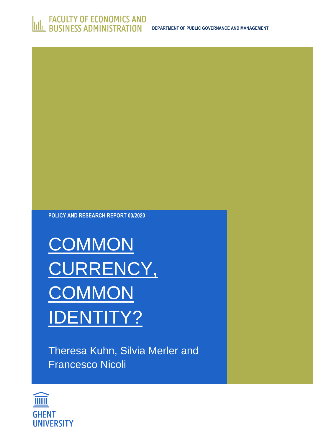

**POLICY AND RESEARCH REPORT 03/2020**

**COMMON** CURRENCY, **COMMON** IDENTITY?

Theresa Kuhn, Silvia Merler and Francesco Nicoli

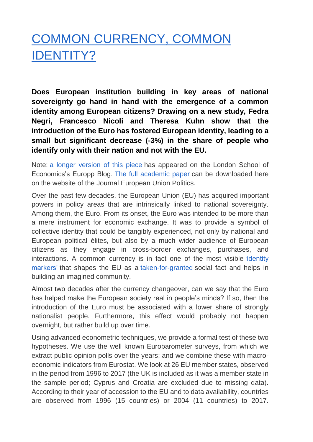## COMMON CURRENCY, COMMON IDENTITY?

**Does European institution building in key areas of national sovereignty go hand in hand with the emergence of a common identity among European citizens? Drawing on a new study, Fedra Negri, Francesco Nicoli and Theresa Kuhn show that the introduction of the Euro has fostered European identity, leading to a small but significant decrease (-3%) in the share of people who identify only with their nation and not with the EU.**

Note: [a longer version of this piece](https://blogs.lse.ac.uk/europpblog/2020/11/13/common-currency-common-identity-how-the-euro-has-fostered-a-european-identity/) has appeared on the London School of Economics's Europp Blog. [The full academic paper](https://journals.sagepub.com/doi/full/10.1177/1465116520970286) can be downloaded here on the website of the Journal European Union Politics.

Over the past few decades, the European Union (EU) has acquired important powers in policy areas that are intrinsically linked to national sovereignty. Among them, the Euro. From its onset, the Euro was intended to be more than a mere instrument for economic exchange. It was to provide a symbol of collective identity that could be tangibly experienced, not only by national and European political élites, but also by a much wider audience of European citizens as they engage in cross-border exchanges, purchases, and interactions. A common currency is in fact one of the most visible 'identity [markers'](https://www.jstor.org/stable/10.7591/j.ctt7v8r0) that shapes the EU as a [taken-for-granted](https://oxford.universitypressscholarship.com/view/10.1093/acprof:oso/9780198716235.001.0001/acprof-9780198716235) social fact and helps in building an imagined community.

Almost two decades after the currency changeover, can we say that the Euro has helped make the European society real in people's minds? If so, then the introduction of the Euro must be associated with a lower share of strongly nationalist people. Furthermore, this effect would probably not happen overnight, but rather build up over time.

Using advanced econometric techniques, we provide a formal test of these two hypotheses. We use the well known Eurobarometer surveys, from which we extract public opinion polls over the years; and we combine these with macroeconomic indicators from Eurostat. We look at 26 EU member states, observed in the period from 1996 to 2017 (the UK is included as it was a member state in the sample period; Cyprus and Croatia are excluded due to missing data). According to their year of accession to the EU and to data availability, countries are observed from 1996 (15 countries) or 2004 (11 countries) to 2017.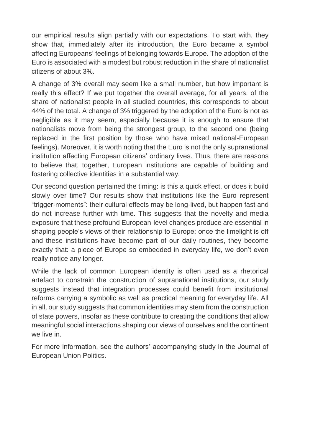our empirical results align partially with our expectations. To start with, they show that, immediately after its introduction, the Euro became a symbol affecting Europeans' feelings of belonging towards Europe. The adoption of the Euro is associated with a modest but robust reduction in the share of nationalist citizens of about 3%.

A change of 3% overall may seem like a small number, but how important is really this effect? If we put together the overall average, for all years, of the share of nationalist people in all studied countries, this corresponds to about 44% of the total. A change of 3% triggered by the adoption of the Euro is not as negligible as it may seem, especially because it is enough to ensure that nationalists move from being the strongest group, to the second one (being replaced in the first position by those who have mixed national-European feelings). Moreover, it is worth noting that the Euro is not the only supranational institution affecting European citizens' ordinary lives. Thus, there are reasons to believe that, together, European institutions are capable of building and fostering collective identities in a substantial way.

Our second question pertained the timing: is this a quick effect, or does it build slowly over time? Our results show that institutions like the Euro represent "trigger-moments": their cultural effects may be long-lived, but happen fast and do not increase further with time. This suggests that the novelty and media exposure that these profound European-level changes produce are essential in shaping people's views of their relationship to Europe: once the limelight is off and these institutions have become part of our daily routines, they become exactly that: a piece of Europe so embedded in everyday life, we don't even really notice any longer.

While the lack of common European identity is often used as a rhetorical artefact to constrain the construction of supranational institutions, our study suggests instead that integration processes could benefit from institutional reforms carrying a symbolic as well as practical meaning for everyday life. All in all, our study suggests that common identities may stem from the construction of state powers, insofar as these contribute to creating the conditions that allow meaningful social interactions shaping our views of ourselves and the continent we live in.

For more information, see the authors' accompanying study in the Journal of European Union Politics.